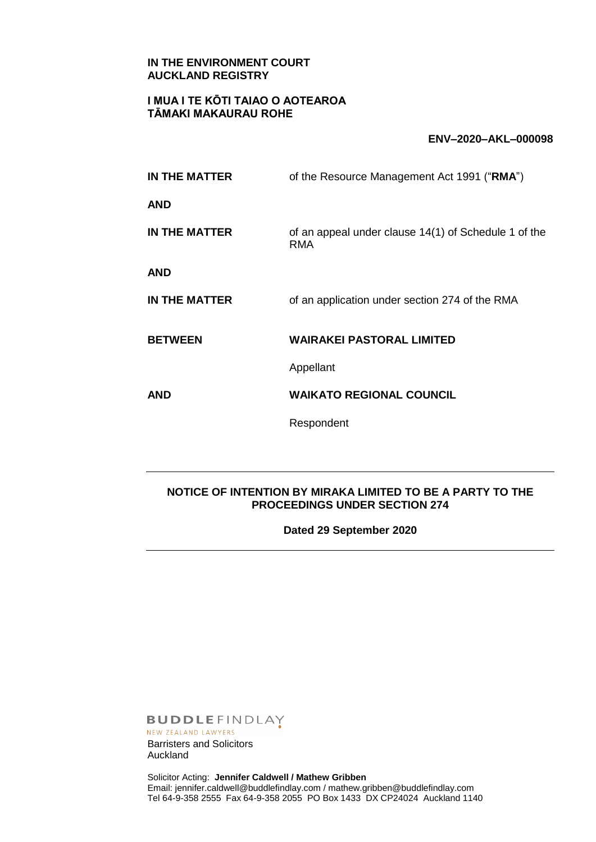### **IN THE ENVIRONMENT COURT AUCKLAND REGISTRY**

## **I MUA I TE KŌTI TAIAO O AOTEAROA TĀMAKI MAKAURAU ROHE**

#### **ENV–2020–AKL–000098**

| IN THE MATTER  | of the Resource Management Act 1991 ("RMA")                        |
|----------------|--------------------------------------------------------------------|
| AND            |                                                                    |
| IN THE MATTER  | of an appeal under clause 14(1) of Schedule 1 of the<br><b>RMA</b> |
| AND            |                                                                    |
| IN THE MATTER  | of an application under section 274 of the RMA                     |
| <b>BETWEEN</b> | <b>WAIRAKEI PASTORAL LIMITED</b>                                   |
|                | Appellant                                                          |
| AND            | <b>WAIKATO REGIONAL COUNCIL</b>                                    |
|                | Respondent                                                         |
|                |                                                                    |

### **NOTICE OF INTENTION BY MIRAKA LIMITED TO BE A PARTY TO THE PROCEEDINGS UNDER SECTION 274**

**Dated 29 September 2020**

**BUDDLEFINDLAY** 

NEW ZEALAND LAWYERS Barristers and Solicitors Auckland

Solicitor Acting: **Jennifer Caldwell / Mathew Gribben** Email: jennifer.caldwell@buddlefindlay.com / mathew.gribben@buddlefindlay.com Tel 64-9-358 2555 Fax 64-9-358 2055 PO Box 1433 DX CP24024 Auckland 1140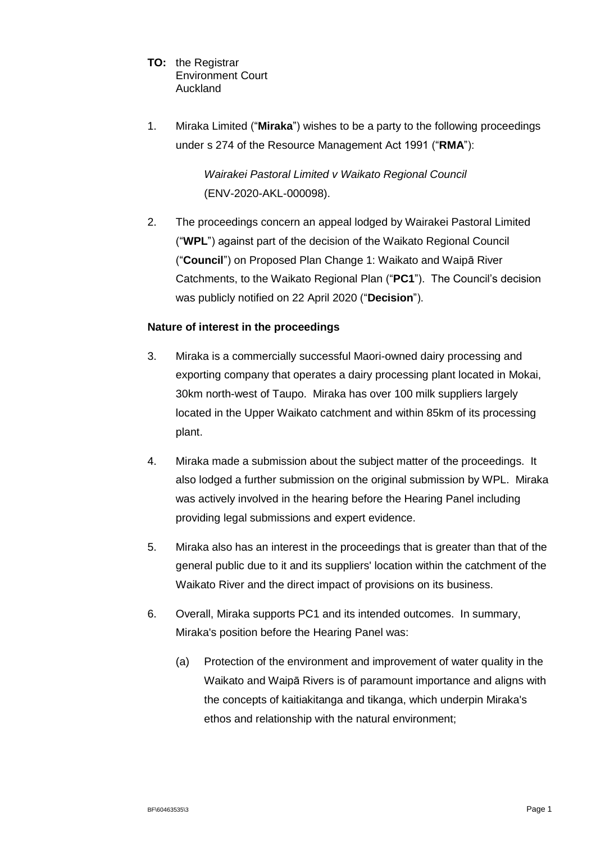- **TO:** the Registrar Environment Court Auckland
- 1. Miraka Limited ("**Miraka**") wishes to be a party to the following proceedings under s 274 of the Resource Management Act 1991 ("**RMA**"):

*Wairakei Pastoral Limited v Waikato Regional Council* (ENV-2020-AKL-000098).

2. The proceedings concern an appeal lodged by Wairakei Pastoral Limited ("**WPL**") against part of the decision of the Waikato Regional Council ("**Council**") on Proposed Plan Change 1: Waikato and Waipā River Catchments, to the Waikato Regional Plan ("**PC1**"). The Council's decision was publicly notified on 22 April 2020 ("**Decision**").

## **Nature of interest in the proceedings**

- 3. Miraka is a commercially successful Maori-owned dairy processing and exporting company that operates a dairy processing plant located in Mokai, 30km north-west of Taupo. Miraka has over 100 milk suppliers largely located in the Upper Waikato catchment and within 85km of its processing plant.
- 4. Miraka made a submission about the subject matter of the proceedings. It also lodged a further submission on the original submission by WPL. Miraka was actively involved in the hearing before the Hearing Panel including providing legal submissions and expert evidence.
- 5. Miraka also has an interest in the proceedings that is greater than that of the general public due to it and its suppliers' location within the catchment of the Waikato River and the direct impact of provisions on its business.
- 6. Overall, Miraka supports PC1 and its intended outcomes. In summary, Miraka's position before the Hearing Panel was:
	- (a) Protection of the environment and improvement of water quality in the Waikato and Waipā Rivers is of paramount importance and aligns with the concepts of kaitiakitanga and tikanga, which underpin Miraka's ethos and relationship with the natural environment;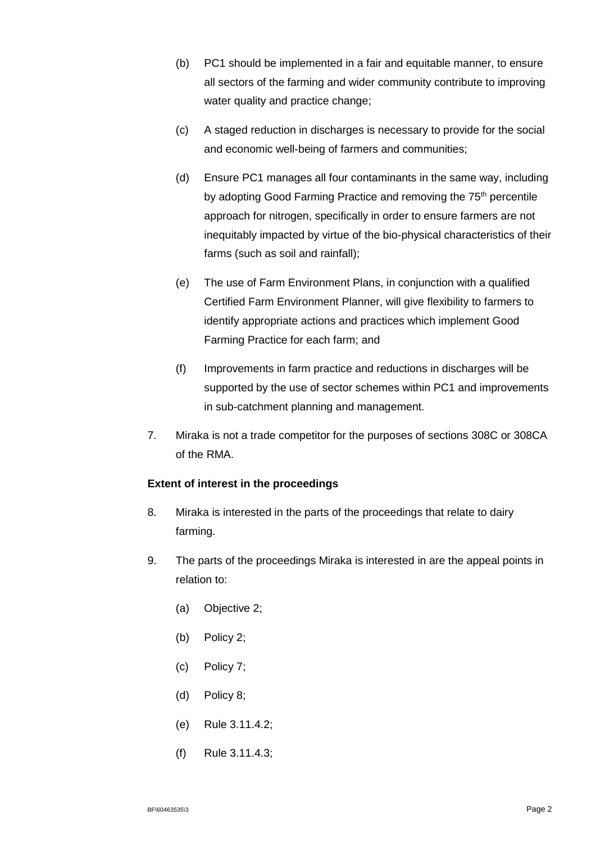- (b) PC1 should be implemented in a fair and equitable manner, to ensure all sectors of the farming and wider community contribute to improving water quality and practice change;
- (c) A staged reduction in discharges is necessary to provide for the social and economic well-being of farmers and communities;
- (d) Ensure PC1 manages all four contaminants in the same way, including by adopting Good Farming Practice and removing the 75<sup>th</sup> percentile approach for nitrogen, specifically in order to ensure farmers are not inequitably impacted by virtue of the bio-physical characteristics of their farms (such as soil and rainfall);
- (e) The use of Farm Environment Plans, in conjunction with a qualified Certified Farm Environment Planner, will give flexibility to farmers to identify appropriate actions and practices which implement Good Farming Practice for each farm; and
- (f) Improvements in farm practice and reductions in discharges will be supported by the use of sector schemes within PC1 and improvements in sub-catchment planning and management.
- 7. Miraka is not a trade competitor for the purposes of sections 308C or 308CA of the RMA.

# **Extent of interest in the proceedings**

- 8. Miraka is interested in the parts of the proceedings that relate to dairy farming.
- 9. The parts of the proceedings Miraka is interested in are the appeal points in relation to:
	- (a) Objective 2;
	- (b) Policy 2;
	- (c) Policy 7;
	- (d) Policy 8;
	- (e) Rule 3.11.4.2;
	- (f) Rule 3.11.4.3;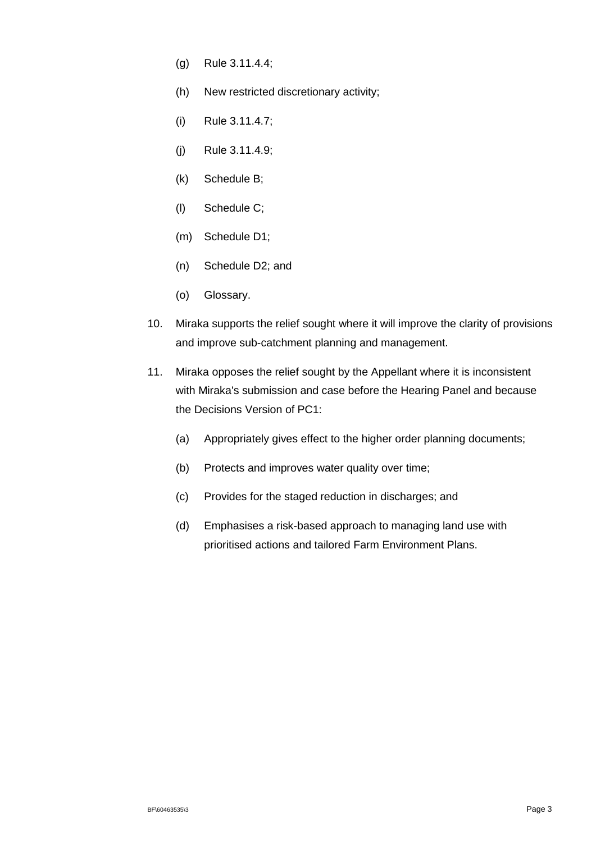- (g) Rule 3.11.4.4;
- (h) New restricted discretionary activity;
- (i) Rule 3.11.4.7;
- (j) Rule 3.11.4.9;
- (k) Schedule B;
- (l) Schedule C;
- (m) Schedule D1;
- (n) Schedule D2; and
- (o) Glossary.
- 10. Miraka supports the relief sought where it will improve the clarity of provisions and improve sub-catchment planning and management.
- 11. Miraka opposes the relief sought by the Appellant where it is inconsistent with Miraka's submission and case before the Hearing Panel and because the Decisions Version of PC1:
	- (a) Appropriately gives effect to the higher order planning documents;
	- (b) Protects and improves water quality over time;
	- (c) Provides for the staged reduction in discharges; and
	- (d) Emphasises a risk-based approach to managing land use with prioritised actions and tailored Farm Environment Plans.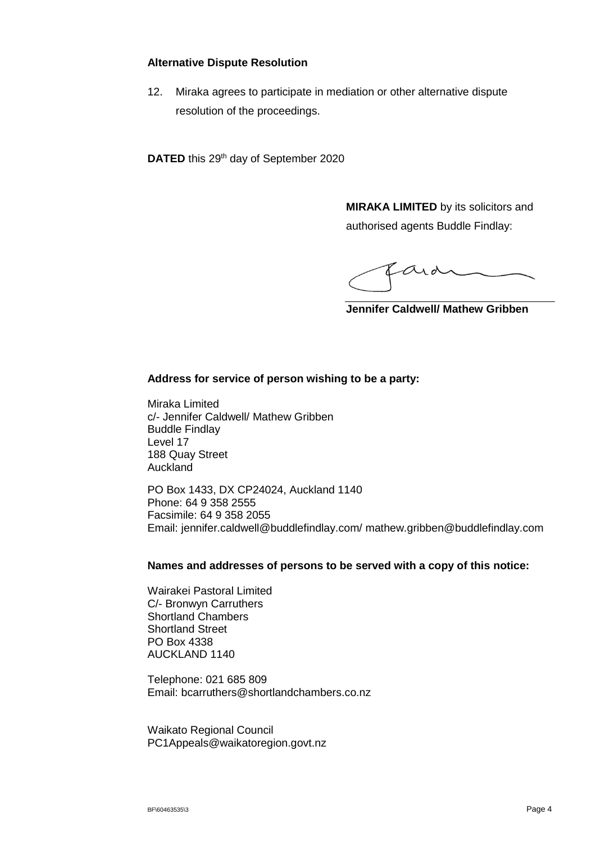### **Alternative Dispute Resolution**

12. Miraka agrees to participate in mediation or other alternative dispute resolution of the proceedings.

**DATED** this 29<sup>th</sup> day of September 2020

**MIRAKA LIMITED** by its solicitors and authorised agents Buddle Findlay:

ard

**Jennifer Caldwell/ Mathew Gribben**

### **Address for service of person wishing to be a party:**

Miraka Limited c/- Jennifer Caldwell/ Mathew Gribben Buddle Findlay Level 17 188 Quay Street Auckland

PO Box 1433, DX CP24024, Auckland 1140 Phone: 64 9 358 2555 Facsimile: 64 9 358 2055 Email: jennifer.caldwell@buddlefindlay.com/ mathew.gribben@buddlefindlay.com

#### **Names and addresses of persons to be served with a copy of this notice:**

Wairakei Pastoral Limited C/- Bronwyn Carruthers Shortland Chambers Shortland Street PO Box 4338 AUCKLAND 1140

Telephone: 021 685 809 Email: bcarruthers@shortlandchambers.co.nz

Waikato Regional Council PC1Appeals@waikatoregion.govt.nz